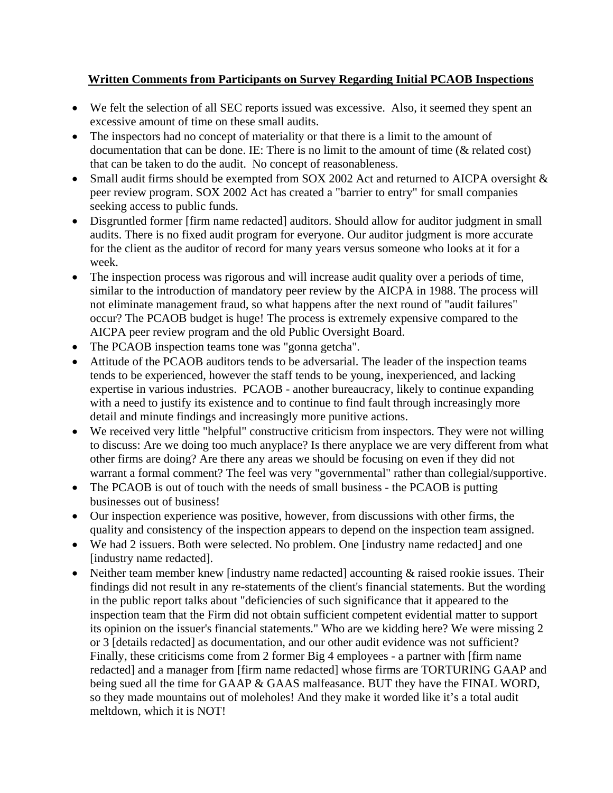## **Written Comments from Participants on Survey Regarding Initial PCAOB Inspections**

- We felt the selection of all SEC reports issued was excessive. Also, it seemed they spent an excessive amount of time on these small audits.
- The inspectors had no concept of materiality or that there is a limit to the amount of documentation that can be done. IE: There is no limit to the amount of time (& related cost) that can be taken to do the audit. No concept of reasonableness.
- Small audit firms should be exempted from SOX 2002 Act and returned to AICPA oversight  $\&$ peer review program. SOX 2002 Act has created a "barrier to entry" for small companies seeking access to public funds.
- Disgruntled former [firm name redacted] auditors. Should allow for auditor judgment in small audits. There is no fixed audit program for everyone. Our auditor judgment is more accurate for the client as the auditor of record for many years versus someone who looks at it for a week.
- The inspection process was rigorous and will increase audit quality over a periods of time, similar to the introduction of mandatory peer review by the AICPA in 1988. The process will not eliminate management fraud, so what happens after the next round of "audit failures" occur? The PCAOB budget is huge! The process is extremely expensive compared to the AICPA peer review program and the old Public Oversight Board.
- The PCAOB inspection teams tone was "gonna getcha".
- Attitude of the PCAOB auditors tends to be adversarial. The leader of the inspection teams tends to be experienced, however the staff tends to be young, inexperienced, and lacking expertise in various industries. PCAOB - another bureaucracy, likely to continue expanding with a need to justify its existence and to continue to find fault through increasingly more detail and minute findings and increasingly more punitive actions.
- We received very little "helpful" constructive criticism from inspectors. They were not willing to discuss: Are we doing too much anyplace? Is there anyplace we are very different from what other firms are doing? Are there any areas we should be focusing on even if they did not warrant a formal comment? The feel was very "governmental" rather than collegial/supportive.
- The PCAOB is out of touch with the needs of small business the PCAOB is putting businesses out of business!
- Our inspection experience was positive, however, from discussions with other firms, the quality and consistency of the inspection appears to depend on the inspection team assigned.
- We had 2 issuers. Both were selected. No problem. One [industry name redacted] and one [industry name redacted].
- Neither team member knew [industry name redacted] accounting & raised rookie issues. Their findings did not result in any re-statements of the client's financial statements. But the wording in the public report talks about "deficiencies of such significance that it appeared to the inspection team that the Firm did not obtain sufficient competent evidential matter to support its opinion on the issuer's financial statements." Who are we kidding here? We were missing 2 or 3 [details redacted] as documentation, and our other audit evidence was not sufficient? Finally, these criticisms come from 2 former Big 4 employees - a partner with [firm name redacted] and a manager from [firm name redacted] whose firms are TORTURING GAAP and being sued all the time for GAAP & GAAS malfeasance. BUT they have the FINAL WORD, so they made mountains out of moleholes! And they make it worded like it's a total audit meltdown, which it is NOT!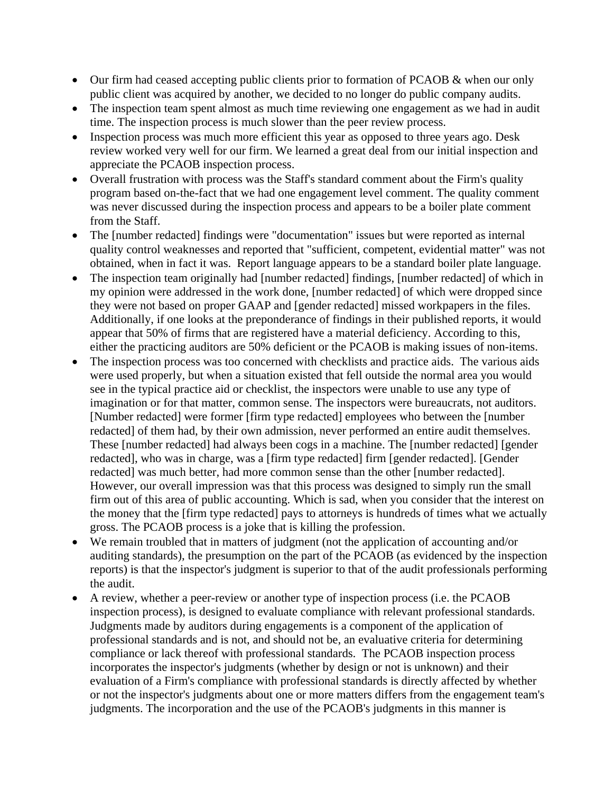- Our firm had ceased accepting public clients prior to formation of PCAOB & when our only public client was acquired by another, we decided to no longer do public company audits.
- The inspection team spent almost as much time reviewing one engagement as we had in audit time. The inspection process is much slower than the peer review process.
- Inspection process was much more efficient this year as opposed to three years ago. Desk review worked very well for our firm. We learned a great deal from our initial inspection and appreciate the PCAOB inspection process.
- Overall frustration with process was the Staff's standard comment about the Firm's quality program based on-the-fact that we had one engagement level comment. The quality comment was never discussed during the inspection process and appears to be a boiler plate comment from the Staff.
- The [number redacted] findings were "documentation" issues but were reported as internal quality control weaknesses and reported that "sufficient, competent, evidential matter" was not obtained, when in fact it was. Report language appears to be a standard boiler plate language.
- The inspection team originally had [number redacted] findings, [number redacted] of which in my opinion were addressed in the work done, [number redacted] of which were dropped since they were not based on proper GAAP and [gender redacted] missed workpapers in the files. Additionally, if one looks at the preponderance of findings in their published reports, it would appear that 50% of firms that are registered have a material deficiency. According to this, either the practicing auditors are 50% deficient or the PCAOB is making issues of non-items.
- The inspection process was too concerned with checklists and practice aids. The various aids were used properly, but when a situation existed that fell outside the normal area you would see in the typical practice aid or checklist, the inspectors were unable to use any type of imagination or for that matter, common sense. The inspectors were bureaucrats, not auditors. [Number redacted] were former [firm type redacted] employees who between the [number redacted] of them had, by their own admission, never performed an entire audit themselves. These [number redacted] had always been cogs in a machine. The [number redacted] [gender redacted], who was in charge, was a [firm type redacted] firm [gender redacted]. [Gender redacted] was much better, had more common sense than the other [number redacted]. However, our overall impression was that this process was designed to simply run the small firm out of this area of public accounting. Which is sad, when you consider that the interest on the money that the [firm type redacted] pays to attorneys is hundreds of times what we actually gross. The PCAOB process is a joke that is killing the profession.
- We remain troubled that in matters of judgment (not the application of accounting and/or auditing standards), the presumption on the part of the PCAOB (as evidenced by the inspection reports) is that the inspector's judgment is superior to that of the audit professionals performing the audit.
- A review, whether a peer-review or another type of inspection process (i.e. the PCAOB inspection process), is designed to evaluate compliance with relevant professional standards. Judgments made by auditors during engagements is a component of the application of professional standards and is not, and should not be, an evaluative criteria for determining compliance or lack thereof with professional standards. The PCAOB inspection process incorporates the inspector's judgments (whether by design or not is unknown) and their evaluation of a Firm's compliance with professional standards is directly affected by whether or not the inspector's judgments about one or more matters differs from the engagement team's judgments. The incorporation and the use of the PCAOB's judgments in this manner is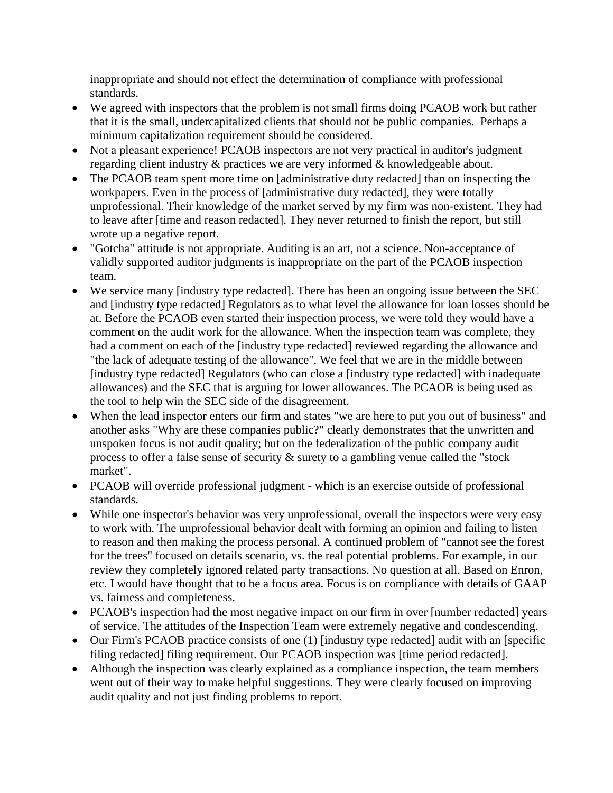inappropriate and should not effect the determination of compliance with professional standards.

- We agreed with inspectors that the problem is not small firms doing PCAOB work but rather that it is the small, undercapitalized clients that should not be public companies. Perhaps a minimum capitalization requirement should be considered.
- Not a pleasant experience! PCAOB inspectors are not very practical in auditor's judgment regarding client industry & practices we are very informed & knowledgeable about.
- The PCAOB team spent more time on [administrative duty redacted] than on inspecting the workpapers. Even in the process of [administrative duty redacted], they were totally unprofessional. Their knowledge of the market served by my firm was non-existent. They had to leave after [time and reason redacted]. They never returned to finish the report, but still wrote up a negative report.
- "Gotcha" attitude is not appropriate. Auditing is an art, not a science. Non-acceptance of validly supported auditor judgments is inappropriate on the part of the PCAOB inspection team.
- We service many [industry type redacted]. There has been an ongoing issue between the SEC and [industry type redacted] Regulators as to what level the allowance for loan losses should be at. Before the PCAOB even started their inspection process, we were told they would have a comment on the audit work for the allowance. When the inspection team was complete, they had a comment on each of the [industry type redacted] reviewed regarding the allowance and "the lack of adequate testing of the allowance". We feel that we are in the middle between [industry type redacted] Regulators (who can close a [industry type redacted] with inadequate allowances) and the SEC that is arguing for lower allowances. The PCAOB is being used as the tool to help win the SEC side of the disagreement.
- When the lead inspector enters our firm and states "we are here to put you out of business" and another asks "Why are these companies public?" clearly demonstrates that the unwritten and unspoken focus is not audit quality; but on the federalization of the public company audit process to offer a false sense of security & surety to a gambling venue called the "stock market".
- PCAOB will override professional judgment which is an exercise outside of professional standards.
- While one inspector's behavior was very unprofessional, overall the inspectors were very easy to work with. The unprofessional behavior dealt with forming an opinion and failing to listen to reason and then making the process personal. A continued problem of "cannot see the forest for the trees" focused on details scenario, vs. the real potential problems. For example, in our review they completely ignored related party transactions. No question at all. Based on Enron, etc. I would have thought that to be a focus area. Focus is on compliance with details of GAAP vs. fairness and completeness.
- PCAOB's inspection had the most negative impact on our firm in over [number redacted] years of service. The attitudes of the Inspection Team were extremely negative and condescending.
- Our Firm's PCAOB practice consists of one (1) [industry type redacted] audit with an [specific filing redacted] filing requirement. Our PCAOB inspection was [time period redacted].
- Although the inspection was clearly explained as a compliance inspection, the team members went out of their way to make helpful suggestions. They were clearly focused on improving audit quality and not just finding problems to report.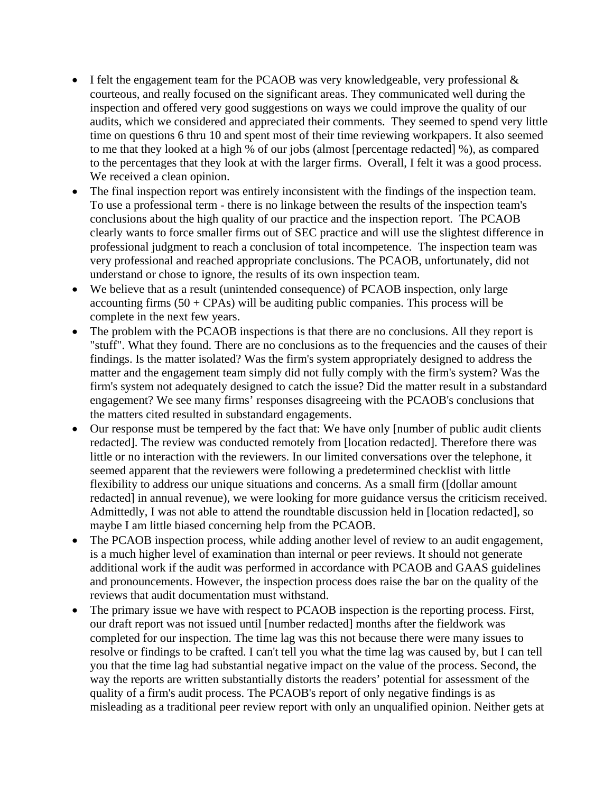- I felt the engagement team for the PCAOB was very knowledgeable, very professional  $\&$ courteous, and really focused on the significant areas. They communicated well during the inspection and offered very good suggestions on ways we could improve the quality of our audits, which we considered and appreciated their comments. They seemed to spend very little time on questions 6 thru 10 and spent most of their time reviewing workpapers. It also seemed to me that they looked at a high % of our jobs (almost [percentage redacted] %), as compared to the percentages that they look at with the larger firms. Overall, I felt it was a good process. We received a clean opinion.
- The final inspection report was entirely inconsistent with the findings of the inspection team. To use a professional term - there is no linkage between the results of the inspection team's conclusions about the high quality of our practice and the inspection report. The PCAOB clearly wants to force smaller firms out of SEC practice and will use the slightest difference in professional judgment to reach a conclusion of total incompetence. The inspection team was very professional and reached appropriate conclusions. The PCAOB, unfortunately, did not understand or chose to ignore, the results of its own inspection team.
- We believe that as a result (unintended consequence) of PCAOB inspection, only large accounting firms  $(50 + \text{CPAs})$  will be auditing public companies. This process will be complete in the next few years.
- The problem with the PCAOB inspections is that there are no conclusions. All they report is "stuff". What they found. There are no conclusions as to the frequencies and the causes of their findings. Is the matter isolated? Was the firm's system appropriately designed to address the matter and the engagement team simply did not fully comply with the firm's system? Was the firm's system not adequately designed to catch the issue? Did the matter result in a substandard engagement? We see many firms' responses disagreeing with the PCAOB's conclusions that the matters cited resulted in substandard engagements.
- Our response must be tempered by the fact that: We have only [number of public audit clients redacted]. The review was conducted remotely from [location redacted]. Therefore there was little or no interaction with the reviewers. In our limited conversations over the telephone, it seemed apparent that the reviewers were following a predetermined checklist with little flexibility to address our unique situations and concerns. As a small firm ([dollar amount redacted] in annual revenue), we were looking for more guidance versus the criticism received. Admittedly, I was not able to attend the roundtable discussion held in [location redacted], so maybe I am little biased concerning help from the PCAOB.
- The PCAOB inspection process, while adding another level of review to an audit engagement, is a much higher level of examination than internal or peer reviews. It should not generate additional work if the audit was performed in accordance with PCAOB and GAAS guidelines and pronouncements. However, the inspection process does raise the bar on the quality of the reviews that audit documentation must withstand.
- The primary issue we have with respect to PCAOB inspection is the reporting process. First, our draft report was not issued until [number redacted] months after the fieldwork was completed for our inspection. The time lag was this not because there were many issues to resolve or findings to be crafted. I can't tell you what the time lag was caused by, but I can tell you that the time lag had substantial negative impact on the value of the process. Second, the way the reports are written substantially distorts the readers' potential for assessment of the quality of a firm's audit process. The PCAOB's report of only negative findings is as misleading as a traditional peer review report with only an unqualified opinion. Neither gets at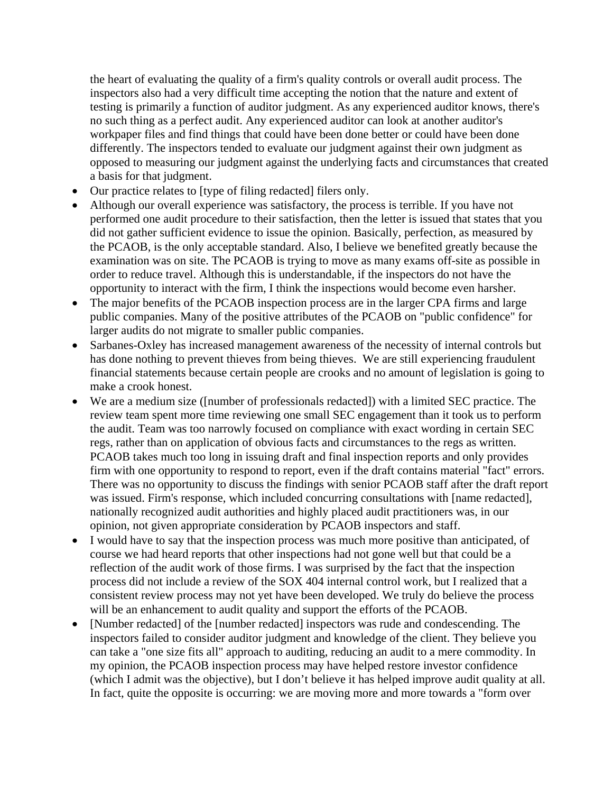the heart of evaluating the quality of a firm's quality controls or overall audit process. The inspectors also had a very difficult time accepting the notion that the nature and extent of testing is primarily a function of auditor judgment. As any experienced auditor knows, there's no such thing as a perfect audit. Any experienced auditor can look at another auditor's workpaper files and find things that could have been done better or could have been done differently. The inspectors tended to evaluate our judgment against their own judgment as opposed to measuring our judgment against the underlying facts and circumstances that created a basis for that judgment.

- Our practice relates to [type of filing redacted] filers only.
- Although our overall experience was satisfactory, the process is terrible. If you have not performed one audit procedure to their satisfaction, then the letter is issued that states that you did not gather sufficient evidence to issue the opinion. Basically, perfection, as measured by the PCAOB, is the only acceptable standard. Also, I believe we benefited greatly because the examination was on site. The PCAOB is trying to move as many exams off-site as possible in order to reduce travel. Although this is understandable, if the inspectors do not have the opportunity to interact with the firm, I think the inspections would become even harsher.
- The major benefits of the PCAOB inspection process are in the larger CPA firms and large public companies. Many of the positive attributes of the PCAOB on "public confidence" for larger audits do not migrate to smaller public companies.
- Sarbanes-Oxley has increased management awareness of the necessity of internal controls but has done nothing to prevent thieves from being thieves. We are still experiencing fraudulent financial statements because certain people are crooks and no amount of legislation is going to make a crook honest.
- We are a medium size ([number of professionals redacted]) with a limited SEC practice. The review team spent more time reviewing one small SEC engagement than it took us to perform the audit. Team was too narrowly focused on compliance with exact wording in certain SEC regs, rather than on application of obvious facts and circumstances to the regs as written. PCAOB takes much too long in issuing draft and final inspection reports and only provides firm with one opportunity to respond to report, even if the draft contains material "fact" errors. There was no opportunity to discuss the findings with senior PCAOB staff after the draft report was issued. Firm's response, which included concurring consultations with [name redacted], nationally recognized audit authorities and highly placed audit practitioners was, in our opinion, not given appropriate consideration by PCAOB inspectors and staff.
- I would have to say that the inspection process was much more positive than anticipated, of course we had heard reports that other inspections had not gone well but that could be a reflection of the audit work of those firms. I was surprised by the fact that the inspection process did not include a review of the SOX 404 internal control work, but I realized that a consistent review process may not yet have been developed. We truly do believe the process will be an enhancement to audit quality and support the efforts of the PCAOB.
- [Number redacted] of the [number redacted] inspectors was rude and condescending. The inspectors failed to consider auditor judgment and knowledge of the client. They believe you can take a "one size fits all" approach to auditing, reducing an audit to a mere commodity. In my opinion, the PCAOB inspection process may have helped restore investor confidence (which I admit was the objective), but I don't believe it has helped improve audit quality at all. In fact, quite the opposite is occurring: we are moving more and more towards a "form over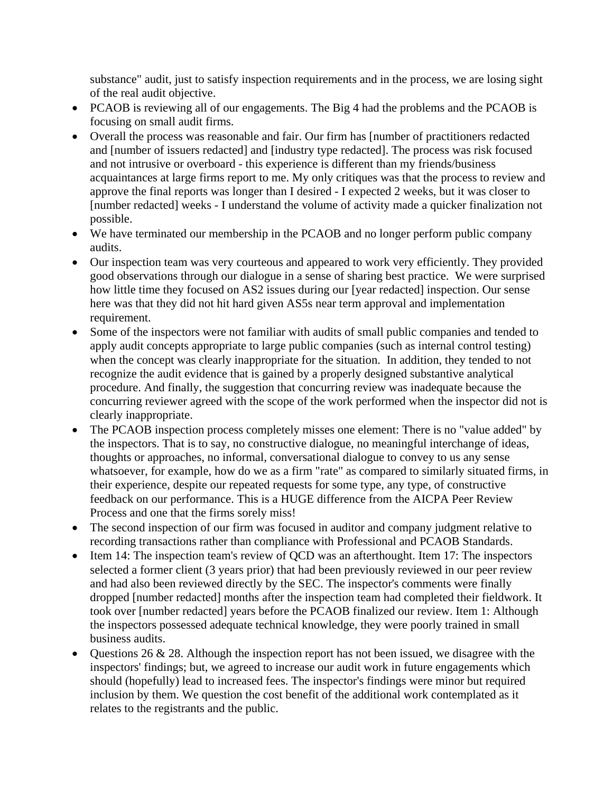substance" audit, just to satisfy inspection requirements and in the process, we are losing sight of the real audit objective.

- PCAOB is reviewing all of our engagements. The Big 4 had the problems and the PCAOB is focusing on small audit firms.
- Overall the process was reasonable and fair. Our firm has [number of practitioners redacted and [number of issuers redacted] and [industry type redacted]. The process was risk focused and not intrusive or overboard - this experience is different than my friends/business acquaintances at large firms report to me. My only critiques was that the process to review and approve the final reports was longer than I desired - I expected 2 weeks, but it was closer to [number redacted] weeks - I understand the volume of activity made a quicker finalization not possible.
- We have terminated our membership in the PCAOB and no longer perform public company audits.
- Our inspection team was very courteous and appeared to work very efficiently. They provided good observations through our dialogue in a sense of sharing best practice. We were surprised how little time they focused on AS2 issues during our [year redacted] inspection. Our sense here was that they did not hit hard given AS5s near term approval and implementation requirement.
- Some of the inspectors were not familiar with audits of small public companies and tended to apply audit concepts appropriate to large public companies (such as internal control testing) when the concept was clearly inappropriate for the situation. In addition, they tended to not recognize the audit evidence that is gained by a properly designed substantive analytical procedure. And finally, the suggestion that concurring review was inadequate because the concurring reviewer agreed with the scope of the work performed when the inspector did not is clearly inappropriate.
- The PCAOB inspection process completely misses one element: There is no "value added" by the inspectors. That is to say, no constructive dialogue, no meaningful interchange of ideas, thoughts or approaches, no informal, conversational dialogue to convey to us any sense whatsoever, for example, how do we as a firm "rate" as compared to similarly situated firms, in their experience, despite our repeated requests for some type, any type, of constructive feedback on our performance. This is a HUGE difference from the AICPA Peer Review Process and one that the firms sorely miss!
- The second inspection of our firm was focused in auditor and company judgment relative to recording transactions rather than compliance with Professional and PCAOB Standards.
- Item 14: The inspection team's review of QCD was an afterthought. Item 17: The inspectors selected a former client (3 years prior) that had been previously reviewed in our peer review and had also been reviewed directly by the SEC. The inspector's comments were finally dropped [number redacted] months after the inspection team had completed their fieldwork. It took over [number redacted] years before the PCAOB finalized our review. Item 1: Although the inspectors possessed adequate technical knowledge, they were poorly trained in small business audits.
- Questions 26 & 28. Although the inspection report has not been issued, we disagree with the inspectors' findings; but, we agreed to increase our audit work in future engagements which should (hopefully) lead to increased fees. The inspector's findings were minor but required inclusion by them. We question the cost benefit of the additional work contemplated as it relates to the registrants and the public.